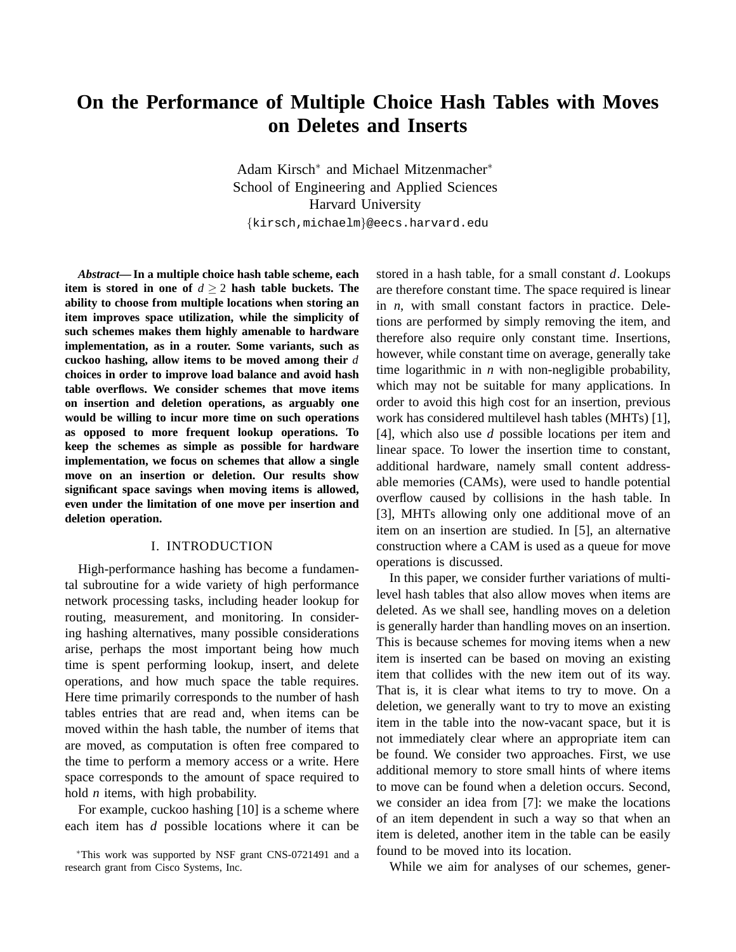# **On the Performance of Multiple Choice Hash Tables with Moves on Deletes and Inserts**

Adam Kirsch<sup>∗</sup> and Michael Mitzenmacher<sup>∗</sup> School of Engineering and Applied Sciences Harvard University {kirsch,michaelm}@eecs.harvard.edu

*Abstract***— In a multiple choice hash table scheme, each item is stored in one of** *d* ≥ 2 **hash table buckets. The ability to choose from multiple locations when storing an item improves space utilization, while the simplicity of such schemes makes them highly amenable to hardware implementation, as in a router. Some variants, such as cuckoo hashing, allow items to be moved among their** *d* **choices in order to improve load balance and avoid hash table overflows. We consider schemes that move items on insertion and deletion operations, as arguably one would be willing to incur more time on such operations as opposed to more frequent lookup operations. To keep the schemes as simple as possible for hardware implementation, we focus on schemes that allow a single move on an insertion or deletion. Our results show significant space savings when moving items is allowed, even under the limitation of one move per insertion and deletion operation.**

## I. INTRODUCTION

High-performance hashing has become a fundamental subroutine for a wide variety of high performance network processing tasks, including header lookup for routing, measurement, and monitoring. In considering hashing alternatives, many possible considerations arise, perhaps the most important being how much time is spent performing lookup, insert, and delete operations, and how much space the table requires. Here time primarily corresponds to the number of hash tables entries that are read and, when items can be moved within the hash table, the number of items that are moved, as computation is often free compared to the time to perform a memory access or a write. Here space corresponds to the amount of space required to hold *n* items, with high probability.

For example, cuckoo hashing [10] is a scheme where each item has *d* possible locations where it can be stored in a hash table, for a small constant *d*. Lookups are therefore constant time. The space required is linear in *n*, with small constant factors in practice. Deletions are performed by simply removing the item, and therefore also require only constant time. Insertions, however, while constant time on average, generally take time logarithmic in *n* with non-negligible probability, which may not be suitable for many applications. In order to avoid this high cost for an insertion, previous work has considered multilevel hash tables (MHTs) [1], [4], which also use *d* possible locations per item and linear space. To lower the insertion time to constant, additional hardware, namely small content addressable memories (CAMs), were used to handle potential overflow caused by collisions in the hash table. In [3], MHTs allowing only one additional move of an item on an insertion are studied. In [5], an alternative construction where a CAM is used as a queue for move operations is discussed.

In this paper, we consider further variations of multilevel hash tables that also allow moves when items are deleted. As we shall see, handling moves on a deletion is generally harder than handling moves on an insertion. This is because schemes for moving items when a new item is inserted can be based on moving an existing item that collides with the new item out of its way. That is, it is clear what items to try to move. On a deletion, we generally want to try to move an existing item in the table into the now-vacant space, but it is not immediately clear where an appropriate item can be found. We consider two approaches. First, we use additional memory to store small hints of where items to move can be found when a deletion occurs. Second, we consider an idea from [7]: we make the locations of an item dependent in such a way so that when an item is deleted, another item in the table can be easily found to be moved into its location.

While we aim for analyses of our schemes, gener-

<sup>∗</sup>This work was supported by NSF grant CNS-0721491 and a research grant from Cisco Systems, Inc.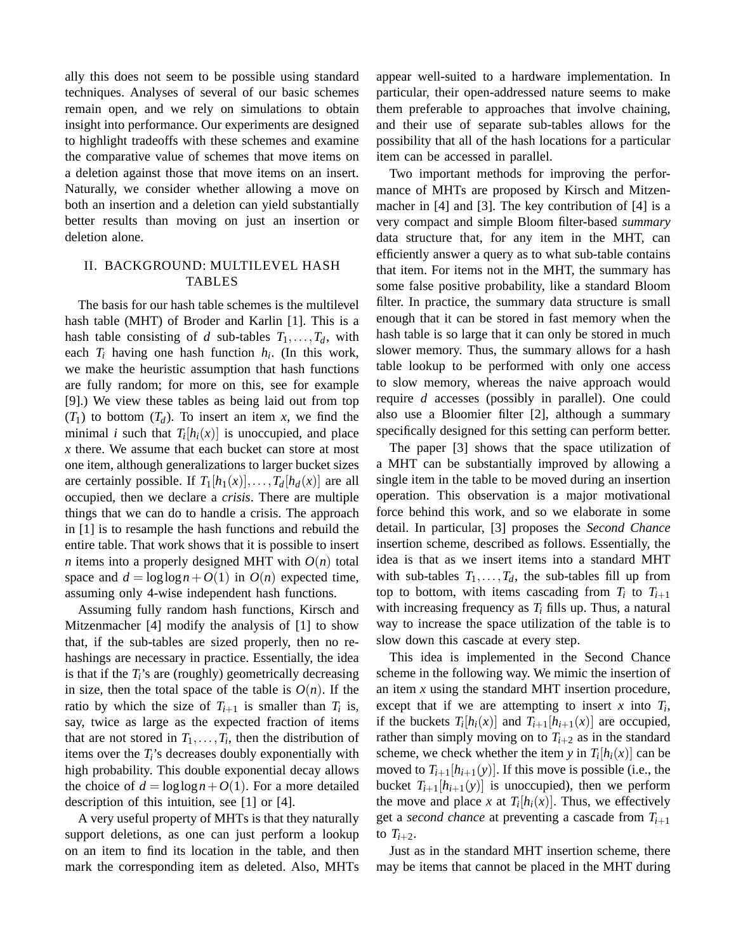ally this does not seem to be possible using standard techniques. Analyses of several of our basic schemes remain open, and we rely on simulations to obtain insight into performance. Our experiments are designed to highlight tradeoffs with these schemes and examine the comparative value of schemes that move items on a deletion against those that move items on an insert. Naturally, we consider whether allowing a move on both an insertion and a deletion can yield substantially better results than moving on just an insertion or deletion alone.

# II. BACKGROUND: MULTILEVEL HASH TABLES

The basis for our hash table schemes is the multilevel hash table (MHT) of Broder and Karlin [1]. This is a hash table consisting of *d* sub-tables  $T_1, \ldots, T_d$ , with each  $T_i$  having one hash function  $h_i$ . (In this work, we make the heuristic assumption that hash functions are fully random; for more on this, see for example [9].) We view these tables as being laid out from top  $(T_1)$  to bottom  $(T_d)$ . To insert an item *x*, we find the minimal *i* such that  $T_i[h_i(x)]$  is unoccupied, and place *x* there. We assume that each bucket can store at most one item, although generalizations to larger bucket sizes are certainly possible. If  $T_1[h_1(x)], \ldots, T_d[h_d(x)]$  are all occupied, then we declare a *crisis*. There are multiple things that we can do to handle a crisis. The approach in [1] is to resample the hash functions and rebuild the entire table. That work shows that it is possible to insert *n* items into a properly designed MHT with  $O(n)$  total space and  $d = \log \log n + O(1)$  in  $O(n)$  expected time, assuming only 4-wise independent hash functions.

Assuming fully random hash functions, Kirsch and Mitzenmacher [4] modify the analysis of [1] to show that, if the sub-tables are sized properly, then no rehashings are necessary in practice. Essentially, the idea is that if the  $T_i$ 's are (roughly) geometrically decreasing in size, then the total space of the table is  $O(n)$ . If the ratio by which the size of  $T_{i+1}$  is smaller than  $T_i$  is, say, twice as large as the expected fraction of items that are not stored in  $T_1, \ldots, T_i$ , then the distribution of items over the *Ti*'s decreases doubly exponentially with high probability. This double exponential decay allows the choice of  $d = \log \log n + O(1)$ . For a more detailed description of this intuition, see [1] or [4].

A very useful property of MHTs is that they naturally support deletions, as one can just perform a lookup on an item to find its location in the table, and then mark the corresponding item as deleted. Also, MHTs appear well-suited to a hardware implementation. In particular, their open-addressed nature seems to make them preferable to approaches that involve chaining, and their use of separate sub-tables allows for the possibility that all of the hash locations for a particular item can be accessed in parallel.

Two important methods for improving the performance of MHTs are proposed by Kirsch and Mitzenmacher in [4] and [3]. The key contribution of [4] is a very compact and simple Bloom filter-based *summary* data structure that, for any item in the MHT, can efficiently answer a query as to what sub-table contains that item. For items not in the MHT, the summary has some false positive probability, like a standard Bloom filter. In practice, the summary data structure is small enough that it can be stored in fast memory when the hash table is so large that it can only be stored in much slower memory. Thus, the summary allows for a hash table lookup to be performed with only one access to slow memory, whereas the naive approach would require *d* accesses (possibly in parallel). One could also use a Bloomier filter [2], although a summary specifically designed for this setting can perform better.

The paper [3] shows that the space utilization of a MHT can be substantially improved by allowing a single item in the table to be moved during an insertion operation. This observation is a major motivational force behind this work, and so we elaborate in some detail. In particular, [3] proposes the *Second Chance* insertion scheme, described as follows. Essentially, the idea is that as we insert items into a standard MHT with sub-tables  $T_1, \ldots, T_d$ , the sub-tables fill up from top to bottom, with items cascading from  $T_i$  to  $T_{i+1}$ with increasing frequency as *T<sup>i</sup>* fills up. Thus, a natural way to increase the space utilization of the table is to slow down this cascade at every step.

This idea is implemented in the Second Chance scheme in the following way. We mimic the insertion of an item *x* using the standard MHT insertion procedure, except that if we are attempting to insert  $x$  into  $T_i$ , if the buckets  $T_i[h_i(x)]$  and  $T_{i+1}[h_{i+1}(x)]$  are occupied, rather than simply moving on to  $T_{i+2}$  as in the standard scheme, we check whether the item *y* in  $T_i[h_i(x)]$  can be moved to  $T_{i+1}[h_{i+1}(y)]$ . If this move is possible (i.e., the bucket  $T_{i+1}[h_{i+1}(y)]$  is unoccupied), then we perform the move and place *x* at  $T_i[h_i(x)]$ . Thus, we effectively get a *second chance* at preventing a cascade from  $T_{i+1}$ to  $T_{i+2}$ .

Just as in the standard MHT insertion scheme, there may be items that cannot be placed in the MHT during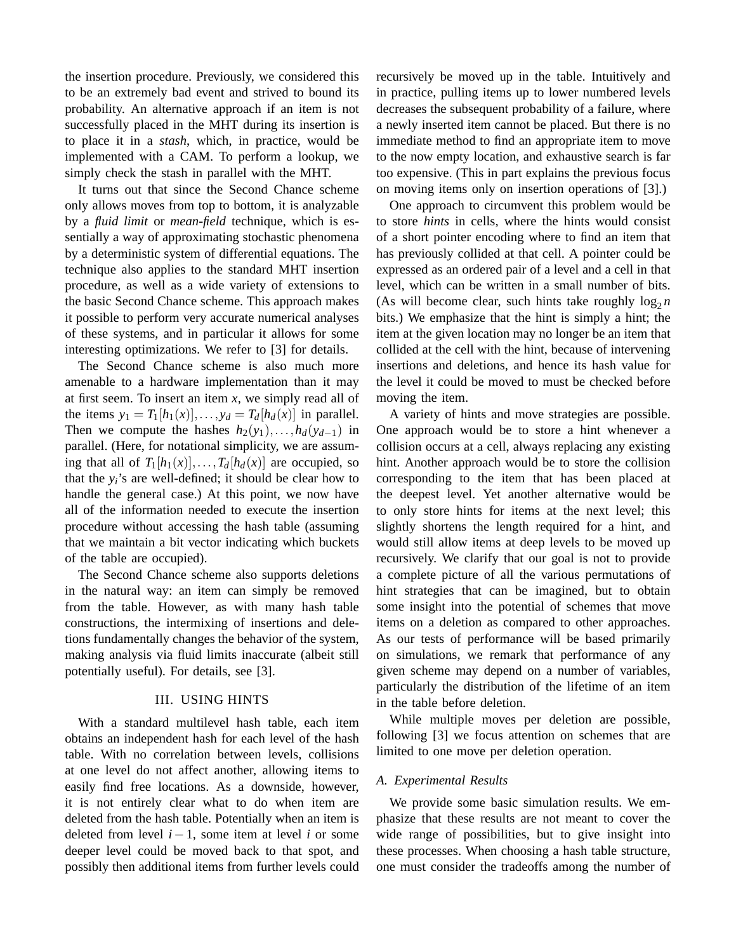the insertion procedure. Previously, we considered this to be an extremely bad event and strived to bound its probability. An alternative approach if an item is not successfully placed in the MHT during its insertion is to place it in a *stash*, which, in practice, would be implemented with a CAM. To perform a lookup, we simply check the stash in parallel with the MHT.

It turns out that since the Second Chance scheme only allows moves from top to bottom, it is analyzable by a *fluid limit* or *mean-field* technique, which is essentially a way of approximating stochastic phenomena by a deterministic system of differential equations. The technique also applies to the standard MHT insertion procedure, as well as a wide variety of extensions to the basic Second Chance scheme. This approach makes it possible to perform very accurate numerical analyses of these systems, and in particular it allows for some interesting optimizations. We refer to [3] for details.

The Second Chance scheme is also much more amenable to a hardware implementation than it may at first seem. To insert an item *x*, we simply read all of the items  $y_1 = T_1[h_1(x)], \ldots, y_d = T_d[h_d(x)]$  in parallel. Then we compute the hashes  $h_2(y_1),...,h_d(y_{d-1})$  in parallel. (Here, for notational simplicity, we are assuming that all of  $T_1[h_1(x)],...,T_d[h_d(x)]$  are occupied, so that the  $y_i$ 's are well-defined; it should be clear how to handle the general case.) At this point, we now have all of the information needed to execute the insertion procedure without accessing the hash table (assuming that we maintain a bit vector indicating which buckets of the table are occupied).

The Second Chance scheme also supports deletions in the natural way: an item can simply be removed from the table. However, as with many hash table constructions, the intermixing of insertions and deletions fundamentally changes the behavior of the system, making analysis via fluid limits inaccurate (albeit still potentially useful). For details, see [3].

#### III. USING HINTS

With a standard multilevel hash table, each item obtains an independent hash for each level of the hash table. With no correlation between levels, collisions at one level do not affect another, allowing items to easily find free locations. As a downside, however, it is not entirely clear what to do when item are deleted from the hash table. Potentially when an item is deleted from level *i*−1, some item at level *i* or some deeper level could be moved back to that spot, and possibly then additional items from further levels could recursively be moved up in the table. Intuitively and in practice, pulling items up to lower numbered levels decreases the subsequent probability of a failure, where a newly inserted item cannot be placed. But there is no immediate method to find an appropriate item to move to the now empty location, and exhaustive search is far too expensive. (This in part explains the previous focus on moving items only on insertion operations of [3].)

One approach to circumvent this problem would be to store *hints* in cells, where the hints would consist of a short pointer encoding where to find an item that has previously collided at that cell. A pointer could be expressed as an ordered pair of a level and a cell in that level, which can be written in a small number of bits. (As will become clear, such hints take roughly  $\log_2 n$ bits.) We emphasize that the hint is simply a hint; the item at the given location may no longer be an item that collided at the cell with the hint, because of intervening insertions and deletions, and hence its hash value for the level it could be moved to must be checked before moving the item.

A variety of hints and move strategies are possible. One approach would be to store a hint whenever a collision occurs at a cell, always replacing any existing hint. Another approach would be to store the collision corresponding to the item that has been placed at the deepest level. Yet another alternative would be to only store hints for items at the next level; this slightly shortens the length required for a hint, and would still allow items at deep levels to be moved up recursively. We clarify that our goal is not to provide a complete picture of all the various permutations of hint strategies that can be imagined, but to obtain some insight into the potential of schemes that move items on a deletion as compared to other approaches. As our tests of performance will be based primarily on simulations, we remark that performance of any given scheme may depend on a number of variables, particularly the distribution of the lifetime of an item in the table before deletion.

While multiple moves per deletion are possible, following [3] we focus attention on schemes that are limited to one move per deletion operation.

# *A. Experimental Results*

We provide some basic simulation results. We emphasize that these results are not meant to cover the wide range of possibilities, but to give insight into these processes. When choosing a hash table structure, one must consider the tradeoffs among the number of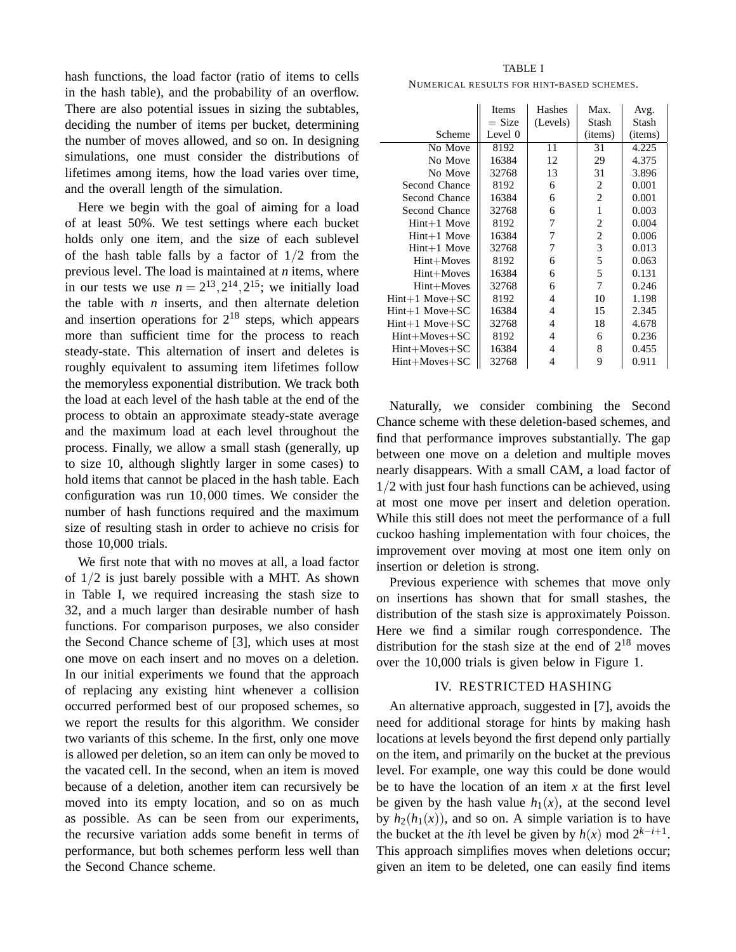hash functions, the load factor (ratio of items to cells in the hash table), and the probability of an overflow. There are also potential issues in sizing the subtables, deciding the number of items per bucket, determining the number of moves allowed, and so on. In designing simulations, one must consider the distributions of lifetimes among items, how the load varies over time, and the overall length of the simulation.

Here we begin with the goal of aiming for a load of at least 50%. We test settings where each bucket holds only one item, and the size of each sublevel of the hash table falls by a factor of  $1/2$  from the previous level. The load is maintained at *n* items, where in our tests we use  $n = 2^{13}, 2^{14}, 2^{15}$ ; we initially load the table with *n* inserts, and then alternate deletion and insertion operations for  $2^{18}$  steps, which appears more than sufficient time for the process to reach steady-state. This alternation of insert and deletes is roughly equivalent to assuming item lifetimes follow the memoryless exponential distribution. We track both the load at each level of the hash table at the end of the process to obtain an approximate steady-state average and the maximum load at each level throughout the process. Finally, we allow a small stash (generally, up to size 10, although slightly larger in some cases) to hold items that cannot be placed in the hash table. Each configuration was run 10,000 times. We consider the number of hash functions required and the maximum size of resulting stash in order to achieve no crisis for those 10,000 trials.

We first note that with no moves at all, a load factor of 1/2 is just barely possible with a MHT. As shown in Table I, we required increasing the stash size to 32, and a much larger than desirable number of hash functions. For comparison purposes, we also consider the Second Chance scheme of [3], which uses at most one move on each insert and no moves on a deletion. In our initial experiments we found that the approach of replacing any existing hint whenever a collision occurred performed best of our proposed schemes, so we report the results for this algorithm. We consider two variants of this scheme. In the first, only one move is allowed per deletion, so an item can only be moved to the vacated cell. In the second, when an item is moved because of a deletion, another item can recursively be moved into its empty location, and so on as much as possible. As can be seen from our experiments, the recursive variation adds some benefit in terms of performance, but both schemes perform less well than the Second Chance scheme.

### TABLE I NUMERICAL RESULTS FOR HINT-BASED SCHEMES.

|                     | Items<br>$=$ Size | Hashes<br>(Levels) | Max.<br>Stash  | Avg.<br>Stash |
|---------------------|-------------------|--------------------|----------------|---------------|
| Scheme              | Level 0           |                    | (items)        | (items)       |
| No Move             | 8192              | 11                 | 31             | 4.225         |
| No Move             | 16384             | 12                 | 29             | 4.375         |
| No Move             | 32768             | 13                 | 31             | 3.896         |
| Second Chance       | 8192              | 6                  | 2              | 0.001         |
| Second Chance       | 16384             | 6                  | $\overline{2}$ | 0.001         |
| Second Chance       | 32768             | 6                  | 1              | 0.003         |
| $Hint+1$ Move       | 8192              | 7                  | 2              | 0.004         |
| $Hint+1$ Move       | 16384             | 7                  | 2              | 0.006         |
| $Hint+1$ Move       | 32768             | 7                  | 3              | 0.013         |
| $Hint+Moves$        | 8192              | 6                  | 5              | 0.063         |
| $Hint+Moves$        | 16384             | 6                  | 5              | 0.131         |
| $Hint+Moves$        | 32768             | 6                  | 7              | 0.246         |
| $Hint+1 Move+SC$    | 8192              | 4                  | 10             | 1.198         |
| $Hint+1 Move+SC$    | 16384             | 4                  | 15             | 2.345         |
| $Hint+1$ Move $+SC$ | 32768             | 4                  | 18             | 4.678         |
| $Hint+Moves+SC$     | 8192              | 4                  | 6              | 0.236         |
| $Hint+Moves+SC$     | 16384             | 4                  | 8              | 0.455         |
| $Hint+Moves+SC$     | 32768             | 4                  | 9              | 0.911         |

Naturally, we consider combining the Second Chance scheme with these deletion-based schemes, and find that performance improves substantially. The gap between one move on a deletion and multiple moves nearly disappears. With a small CAM, a load factor of 1/2 with just four hash functions can be achieved, using at most one move per insert and deletion operation. While this still does not meet the performance of a full cuckoo hashing implementation with four choices, the improvement over moving at most one item only on insertion or deletion is strong.

Previous experience with schemes that move only on insertions has shown that for small stashes, the distribution of the stash size is approximately Poisson. Here we find a similar rough correspondence. The distribution for the stash size at the end of  $2^{18}$  moves over the 10,000 trials is given below in Figure 1.

#### IV. RESTRICTED HASHING

An alternative approach, suggested in [7], avoids the need for additional storage for hints by making hash locations at levels beyond the first depend only partially on the item, and primarily on the bucket at the previous level. For example, one way this could be done would be to have the location of an item *x* at the first level be given by the hash value  $h_1(x)$ , at the second level by  $h_2(h_1(x))$ , and so on. A simple variation is to have the bucket at the *i*th level be given by  $h(x) \text{ mod } 2^{k-i+1}$ . This approach simplifies moves when deletions occur; given an item to be deleted, one can easily find items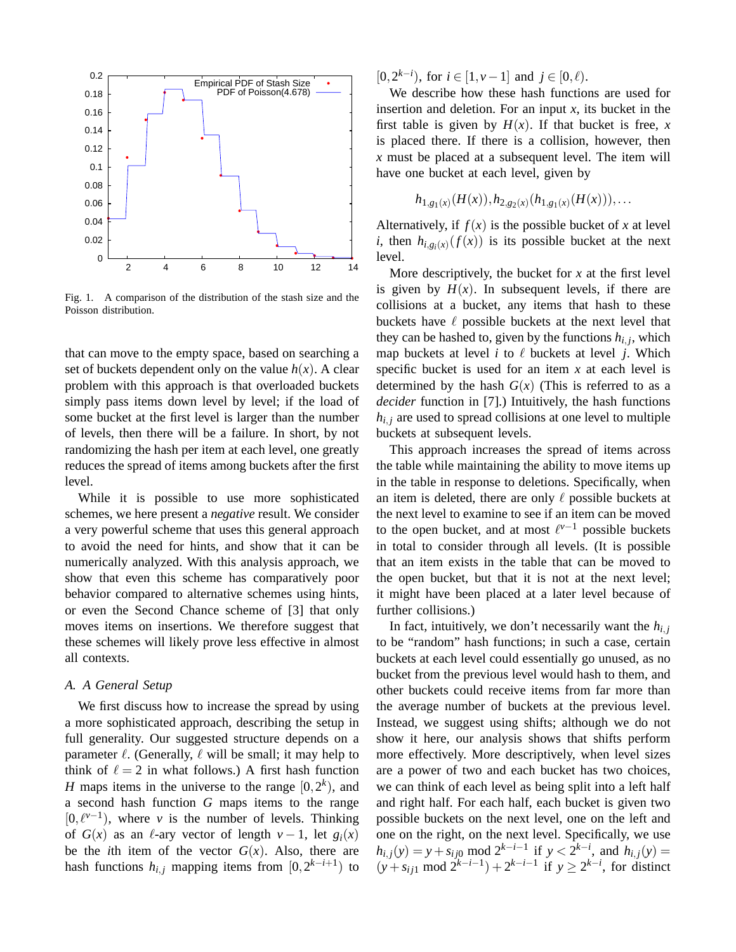

Fig. 1. A comparison of the distribution of the stash size and the Poisson distribution.

that can move to the empty space, based on searching a set of buckets dependent only on the value  $h(x)$ . A clear problem with this approach is that overloaded buckets simply pass items down level by level; if the load of some bucket at the first level is larger than the number of levels, then there will be a failure. In short, by not randomizing the hash per item at each level, one greatly reduces the spread of items among buckets after the first level.

While it is possible to use more sophisticated schemes, we here present a *negative* result. We consider a very powerful scheme that uses this general approach to avoid the need for hints, and show that it can be numerically analyzed. With this analysis approach, we show that even this scheme has comparatively poor behavior compared to alternative schemes using hints, or even the Second Chance scheme of [3] that only moves items on insertions. We therefore suggest that these schemes will likely prove less effective in almost all contexts.

#### *A. A General Setup*

We first discuss how to increase the spread by using a more sophisticated approach, describing the setup in full generality. Our suggested structure depends on a parameter  $\ell$ . (Generally,  $\ell$  will be small; it may help to think of  $\ell = 2$  in what follows.) A first hash function *H* maps items in the universe to the range  $[0, 2<sup>k</sup>)$ , and a second hash function *G* maps items to the range  $[0, \ell^{\nu-1})$ , where *v* is the number of levels. Thinking of  $G(x)$  as an  $\ell$ -ary vector of length  $\nu - 1$ , let  $g_i(x)$ be the *i*th item of the vector  $G(x)$ . Also, there are hash functions  $h_{i,j}$  mapping items from  $[0, 2^{k-i+1})$  to

[0,2<sup>*k*−*i*</sup>), for *i* ∈ [1,*v*−1] and *j* ∈ [0, $\ell$ ).

We describe how these hash functions are used for insertion and deletion. For an input *x*, its bucket in the first table is given by  $H(x)$ . If that bucket is free, x is placed there. If there is a collision, however, then *x* must be placed at a subsequent level. The item will have one bucket at each level, given by

$$
h_{1,g_1(x)}(H(x)), h_{2,g_2(x)}(h_{1,g_1(x)}(H(x))),...
$$

Alternatively, if  $f(x)$  is the possible bucket of *x* at level *i*, then  $h_{i,g_i(x)}(f(x))$  is its possible bucket at the next level.

More descriptively, the bucket for  $x$  at the first level is given by  $H(x)$ . In subsequent levels, if there are collisions at a bucket, any items that hash to these buckets have  $\ell$  possible buckets at the next level that they can be hashed to, given by the functions  $h_{i,j}$ , which map buckets at level *i* to ℓ buckets at level *j*. Which specific bucket is used for an item *x* at each level is determined by the hash  $G(x)$  (This is referred to as a *decider* function in [7].) Intuitively, the hash functions  $h_{i,j}$  are used to spread collisions at one level to multiple buckets at subsequent levels.

This approach increases the spread of items across the table while maintaining the ability to move items up in the table in response to deletions. Specifically, when an item is deleted, there are only  $\ell$  possible buckets at the next level to examine to see if an item can be moved to the open bucket, and at most  $\ell^{v-1}$  possible buckets in total to consider through all levels. (It is possible that an item exists in the table that can be moved to the open bucket, but that it is not at the next level; it might have been placed at a later level because of further collisions.)

In fact, intuitively, we don't necessarily want the  $h_{i,j}$ to be "random" hash functions; in such a case, certain buckets at each level could essentially go unused, as no bucket from the previous level would hash to them, and other buckets could receive items from far more than the average number of buckets at the previous level. Instead, we suggest using shifts; although we do not show it here, our analysis shows that shifts perform more effectively. More descriptively, when level sizes are a power of two and each bucket has two choices, we can think of each level as being split into a left half and right half. For each half, each bucket is given two possible buckets on the next level, one on the left and one on the right, on the next level. Specifically, we use  $h_{i,j}(y) = y + s_{ij0} \text{ mod } 2^{k-i-1} \text{ if } y < 2^{k-i}$ , and  $h_{i,j}(y) =$  $(y + s_{ij1} \mod 2^{k-i-1}) + 2^{k-i-1}$  if  $y \ge 2^{k-i}$ , for distinct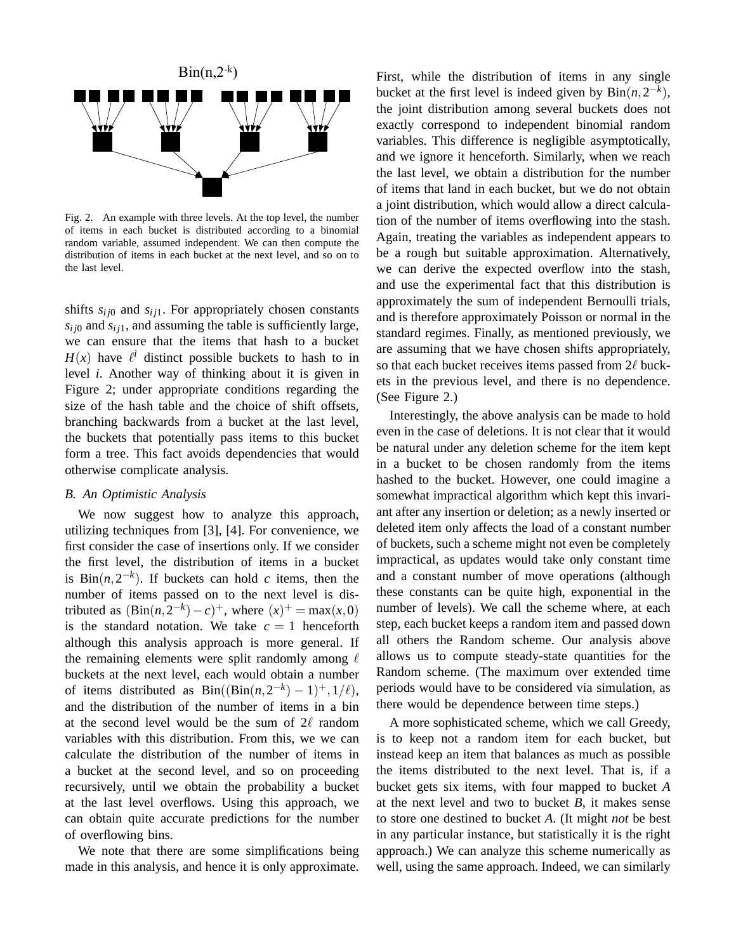

Fig. 2. An example with three levels. At the top level, the number of items in each bucket is distributed according to a binomial random variable, assumed independent. We can then compute the distribution of items in each bucket at the next level, and so on to the last level.

shifts  $s_{ij0}$  and  $s_{ij1}$ . For appropriately chosen constants  $s_{ij0}$  and  $s_{ij1}$ , and assuming the table is sufficiently large, we can ensure that the items that hash to a bucket  $H(x)$  have  $\ell^i$  distinct possible buckets to hash to in level *i*. Another way of thinking about it is given in Figure 2; under appropriate conditions regarding the size of the hash table and the choice of shift offsets, branching backwards from a bucket at the last level, the buckets that potentially pass items to this bucket form a tree. This fact avoids dependencies that would otherwise complicate analysis.

# *B. An Optimistic Analysis*

We now suggest how to analyze this approach, utilizing techniques from [3], [4]. For convenience, we first consider the case of insertions only. If we consider the first level, the distribution of items in a bucket is  $\text{Bin}(n, 2^{-k})$ . If buckets can hold *c* items, then the number of items passed on to the next level is distributed as  $(Bin(n, 2^{-k}) - c)^+$ , where  $(x)^+ = max(x, 0)$ is the standard notation. We take  $c = 1$  henceforth although this analysis approach is more general. If the remaining elements were split randomly among  $\ell$ buckets at the next level, each would obtain a number of items distributed as  $Bin((Bin(n, 2^{-k}) - 1)^+, 1/\ell)$ , and the distribution of the number of items in a bin at the second level would be the sum of  $2\ell$  random variables with this distribution. From this, we we can calculate the distribution of the number of items in a bucket at the second level, and so on proceeding recursively, until we obtain the probability a bucket at the last level overflows. Using this approach, we can obtain quite accurate predictions for the number of overflowing bins.

We note that there are some simplifications being made in this analysis, and hence it is only approximate. First, while the distribution of items in any single bucket at the first level is indeed given by  $Bin(n, 2^{-k})$ , the joint distribution among several buckets does not exactly correspond to independent binomial random variables. This difference is negligible asymptotically, and we ignore it henceforth. Similarly, when we reach the last level, we obtain a distribution for the number of items that land in each bucket, but we do not obtain a joint distribution, which would allow a direct calculation of the number of items overflowing into the stash. Again, treating the variables as independent appears to be a rough but suitable approximation. Alternatively, we can derive the expected overflow into the stash, and use the experimental fact that this distribution is approximately the sum of independent Bernoulli trials, and is therefore approximately Poisson or normal in the standard regimes. Finally, as mentioned previously, we are assuming that we have chosen shifts appropriately, so that each bucket receives items passed from  $2\ell$  buckets in the previous level, and there is no dependence. (See Figure 2.)

Interestingly, the above analysis can be made to hold even in the case of deletions. It is not clear that it would be natural under any deletion scheme for the item kept in a bucket to be chosen randomly from the items hashed to the bucket. However, one could imagine a somewhat impractical algorithm which kept this invariant after any insertion or deletion; as a newly inserted or deleted item only affects the load of a constant number of buckets, such a scheme might not even be completely impractical, as updates would take only constant time and a constant number of move operations (although these constants can be quite high, exponential in the number of levels). We call the scheme where, at each step, each bucket keeps a random item and passed down all others the Random scheme. Our analysis above allows us to compute steady-state quantities for the Random scheme. (The maximum over extended time periods would have to be considered via simulation, as there would be dependence between time steps.)

A more sophisticated scheme, which we call Greedy, is to keep not a random item for each bucket, but instead keep an item that balances as much as possible the items distributed to the next level. That is, if a bucket gets six items, with four mapped to bucket *A* at the next level and two to bucket *B*, it makes sense to store one destined to bucket *A*. (It might *not* be best in any particular instance, but statistically it is the right approach.) We can analyze this scheme numerically as well, using the same approach. Indeed, we can similarly